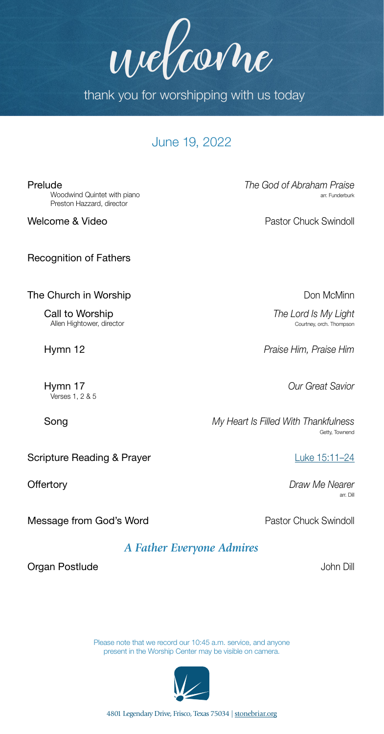4801 Legendary Drive, Frisco, Texas 75034 | [stonebriar.org](http://stonebriar.org)

June 19, 2022

thank you for worshipping with us today

welcome

Woodwind Quintet with piano Preston Hazzard, director

Recognition of Fathers

The Church in Worship **Don McMinn** 

**Call to Worship** *The Lord Is My Light*<br>Allen Hightower, director *Courtney, orch, Thompson* Allen Hightower, director

Verses 1, 2 & 5

Scripture Reading & Prayer Luke 15:11-24

Message from God's Word **Pastor Chuck Swindoll** 

*A Father Everyone Admires*

Please note that we record our 10:45 a.m. service, and anyone



present in the Worship Center may be visible on camera.

Prelude *The God of Abraham Praise*

Welcome & Video **Pastor Chuck Swindoll** 

Hymn 12 *Praise Him, Praise Him*

Hymn 17 *Our Great Savior*

Song *My Heart Is Filled With Thankfulness*Getty, Townend

**Offertory** *Draw Me Nearer*<br>an: Dillarge and Direction and Direction and Direction and Direction and Direction and Direction and Direction<br>Same Direction and Direction and Direction and Direction and Direction and Directi arr. Dill

**Organ Postlude John Dill**